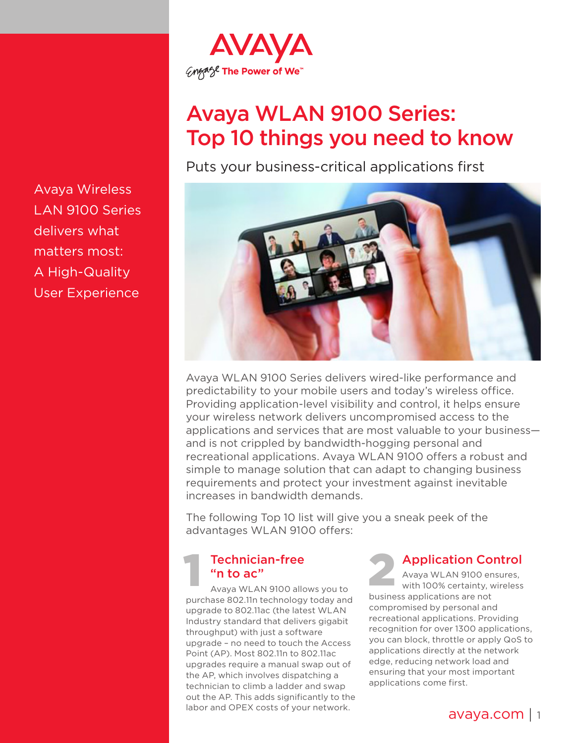

# Avaya WLAN 9100 Series: Top 10 things you need to know

Puts your business-critical applications first



Avaya WLAN 9100 Series delivers wired-like performance and predictability to your mobile users and today's wireless office. Providing application-level visibility and control, it helps ensure your wireless network delivers uncompromised access to the applications and services that are most valuable to your business and is not crippled by bandwidth-hogging personal and recreational applications. Avaya WLAN 9100 offers a robust and simple to manage solution that can adapt to changing business requirements and protect your investment against inevitable increases in bandwidth demands.

The following Top 10 list will give you a sneak peek of the advantages WLAN 9100 offers:

#### Technician-free "n to ac" **1 Proposed Technician-free**<br> **1 2 Avaya WLAN 9100 allows you to**

purchase 802.11n technology today and upgrade to 802.11ac (the latest WLAN Industry standard that delivers gigabit throughput) with just a software upgrade – no need to touch the Access Point (AP). Most 802.11n to 802.11ac upgrades require a manual swap out of the AP, which involves dispatching a technician to climb a ladder and swap out the AP. This adds significantly to the labor and OPEX costs of your network.

Application Control

Avaya WLAN 9100 ensures, with 100% certainty, wireless business applications are not compromised by personal and recreational applications. Providing recognition for over 1300 applications, you can block, throttle or apply QoS to applications directly at the network edge, reducing network load and ensuring that your most important applications come first.

Avaya Wireless LAN 9100 Series delivers what matters most: A High-Quality User Experience